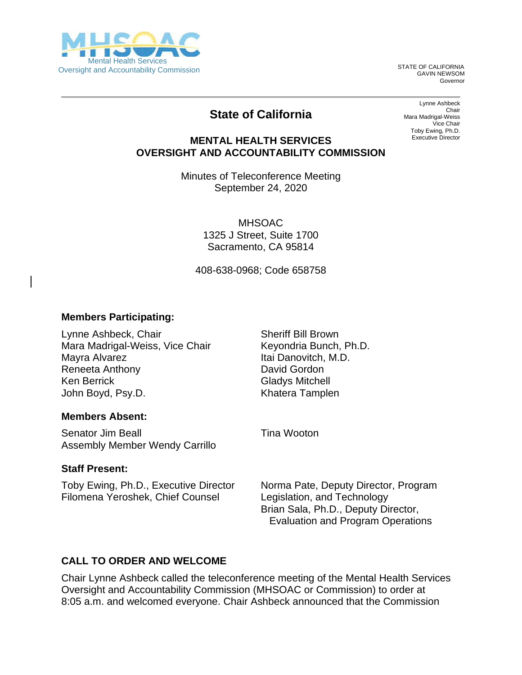

GAVIN NEWSOM Governor

## **State of California**

Lynne Ashbeck Chair Mara Madrigal-Weiss Vice Chair Toby Ewing, Ph.D. Executive Director

## **MENTAL HEALTH SERVICES OVERSIGHT AND ACCOUNTABILITY COMMISSION**

Minutes of Teleconference Meeting September 24, 2020

> MHSOAC 1325 J Street, Suite 1700 Sacramento, CA 95814

408-638-0968; Code 658758

## **Members Participating:**

Lynne Ashbeck, Chair Mara Madrigal-Weiss, Vice Chair Mayra Alvarez Reneeta Anthony Ken Berrick John Boyd, Psy.D.

Sheriff Bill Brown Keyondria Bunch, Ph.D. Itai Danovitch, M.D. David Gordon Gladys Mitchell Khatera Tamplen

Tina Wooton

#### **Members Absent:**

Senator Jim Beall Assembly Member Wendy Carrillo

#### **Staff Present:**

Toby Ewing, Ph.D., Executive Director Filomena Yeroshek, Chief Counsel

Norma Pate, Deputy Director, Program Legislation, and Technology Brian Sala, Ph.D., Deputy Director, Evaluation and Program Operations

## **CALL TO ORDER AND WELCOME**

Chair Lynne Ashbeck called the teleconference meeting of the Mental Health Services Oversight and Accountability Commission (MHSOAC or Commission) to order at 8:05 a.m. and welcomed everyone. Chair Ashbeck announced that the Commission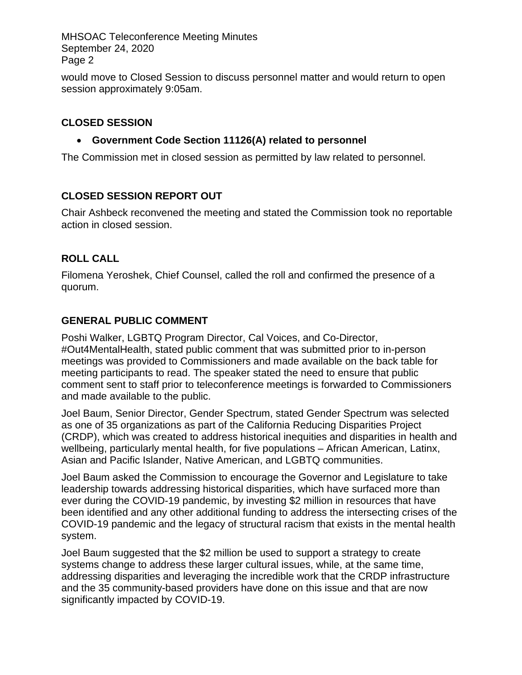would move to Closed Session to discuss personnel matter and would return to open session approximately 9:05am.

## **CLOSED SESSION**

## • **Government Code Section 11126(A) related to personnel**

The Commission met in closed session as permitted by law related to personnel.

## **CLOSED SESSION REPORT OUT**

Chair Ashbeck reconvened the meeting and stated the Commission took no reportable action in closed session.

## **ROLL CALL**

Filomena Yeroshek, Chief Counsel, called the roll and confirmed the presence of a quorum.

## **GENERAL PUBLIC COMMENT**

Poshi Walker, LGBTQ Program Director, Cal Voices, and Co-Director, #Out4MentalHealth, stated public comment that was submitted prior to in-person meetings was provided to Commissioners and made available on the back table for meeting participants to read. The speaker stated the need to ensure that public comment sent to staff prior to teleconference meetings is forwarded to Commissioners and made available to the public.

Joel Baum, Senior Director, Gender Spectrum, stated Gender Spectrum was selected as one of 35 organizations as part of the California Reducing Disparities Project (CRDP), which was created to address historical inequities and disparities in health and wellbeing, particularly mental health, for five populations – African American, Latinx, Asian and Pacific Islander, Native American, and LGBTQ communities.

Joel Baum asked the Commission to encourage the Governor and Legislature to take leadership towards addressing historical disparities, which have surfaced more than ever during the COVID-19 pandemic, by investing \$2 million in resources that have been identified and any other additional funding to address the intersecting crises of the COVID-19 pandemic and the legacy of structural racism that exists in the mental health system.

Joel Baum suggested that the \$2 million be used to support a strategy to create systems change to address these larger cultural issues, while, at the same time, addressing disparities and leveraging the incredible work that the CRDP infrastructure and the 35 community-based providers have done on this issue and that are now significantly impacted by COVID-19.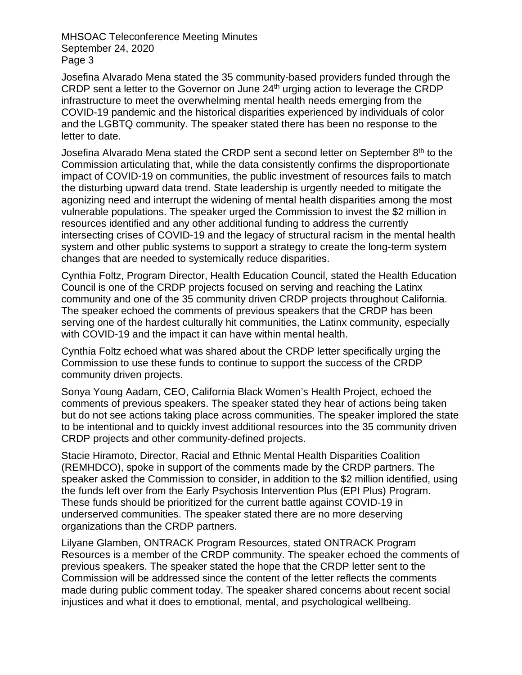Josefina Alvarado Mena stated the 35 community-based providers funded through the CRDP sent a letter to the Governor on June 24th urging action to leverage the CRDP infrastructure to meet the overwhelming mental health needs emerging from the COVID-19 pandemic and the historical disparities experienced by individuals of color and the LGBTQ community. The speaker stated there has been no response to the letter to date.

Josefina Alvarado Mena stated the CRDP sent a second letter on September 8<sup>th</sup> to the Commission articulating that, while the data consistently confirms the disproportionate impact of COVID-19 on communities, the public investment of resources fails to match the disturbing upward data trend. State leadership is urgently needed to mitigate the agonizing need and interrupt the widening of mental health disparities among the most vulnerable populations. The speaker urged the Commission to invest the \$2 million in resources identified and any other additional funding to address the currently intersecting crises of COVID-19 and the legacy of structural racism in the mental health system and other public systems to support a strategy to create the long-term system changes that are needed to systemically reduce disparities.

Cynthia Foltz, Program Director, Health Education Council, stated the Health Education Council is one of the CRDP projects focused on serving and reaching the Latinx community and one of the 35 community driven CRDP projects throughout California. The speaker echoed the comments of previous speakers that the CRDP has been serving one of the hardest culturally hit communities, the Latinx community, especially with COVID-19 and the impact it can have within mental health.

Cynthia Foltz echoed what was shared about the CRDP letter specifically urging the Commission to use these funds to continue to support the success of the CRDP community driven projects.

Sonya Young Aadam, CEO, California Black Women's Health Project, echoed the comments of previous speakers. The speaker stated they hear of actions being taken but do not see actions taking place across communities. The speaker implored the state to be intentional and to quickly invest additional resources into the 35 community driven CRDP projects and other community-defined projects.

Stacie Hiramoto, Director, Racial and Ethnic Mental Health Disparities Coalition (REMHDCO), spoke in support of the comments made by the CRDP partners. The speaker asked the Commission to consider, in addition to the \$2 million identified, using the funds left over from the Early Psychosis Intervention Plus (EPI Plus) Program. These funds should be prioritized for the current battle against COVID-19 in underserved communities. The speaker stated there are no more deserving organizations than the CRDP partners.

Lilyane Glamben, ONTRACK Program Resources, stated ONTRACK Program Resources is a member of the CRDP community. The speaker echoed the comments of previous speakers. The speaker stated the hope that the CRDP letter sent to the Commission will be addressed since the content of the letter reflects the comments made during public comment today. The speaker shared concerns about recent social injustices and what it does to emotional, mental, and psychological wellbeing.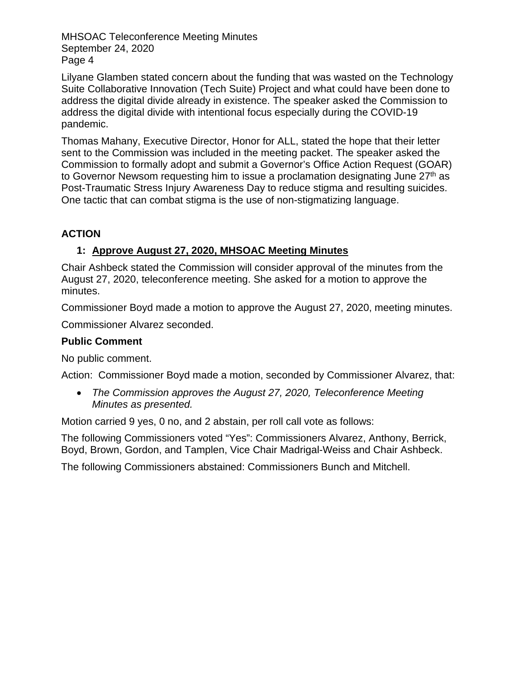Lilyane Glamben stated concern about the funding that was wasted on the Technology Suite Collaborative Innovation (Tech Suite) Project and what could have been done to address the digital divide already in existence. The speaker asked the Commission to address the digital divide with intentional focus especially during the COVID-19 pandemic.

Thomas Mahany, Executive Director, Honor for ALL, stated the hope that their letter sent to the Commission was included in the meeting packet. The speaker asked the Commission to formally adopt and submit a Governor's Office Action Request (GOAR) to Governor Newsom requesting him to issue a proclamation designating June 27<sup>th</sup> as Post-Traumatic Stress Injury Awareness Day to reduce stigma and resulting suicides. One tactic that can combat stigma is the use of non-stigmatizing language.

## **ACTION**

## **1: Approve August 27, 2020, MHSOAC Meeting Minutes**

Chair Ashbeck stated the Commission will consider approval of the minutes from the August 27, 2020, teleconference meeting. She asked for a motion to approve the minutes.

Commissioner Boyd made a motion to approve the August 27, 2020, meeting minutes.

Commissioner Alvarez seconded.

## **Public Comment**

No public comment.

Action: Commissioner Boyd made a motion, seconded by Commissioner Alvarez, that:

• *The Commission approves the August 27, 2020, Teleconference Meeting Minutes as presented.*

Motion carried 9 yes, 0 no, and 2 abstain, per roll call vote as follows:

The following Commissioners voted "Yes": Commissioners Alvarez, Anthony, Berrick, Boyd, Brown, Gordon, and Tamplen, Vice Chair Madrigal-Weiss and Chair Ashbeck.

The following Commissioners abstained: Commissioners Bunch and Mitchell.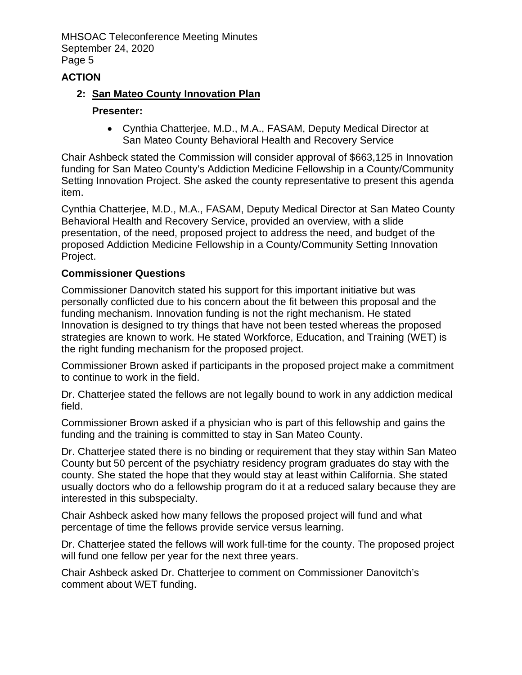## **ACTION**

## **2: San Mateo County Innovation Plan**

#### **Presenter:**

• Cynthia Chatterjee, M.D., M.A., FASAM, Deputy Medical Director at San Mateo County Behavioral Health and Recovery Service

Chair Ashbeck stated the Commission will consider approval of \$663,125 in Innovation funding for San Mateo County's Addiction Medicine Fellowship in a County/Community Setting Innovation Project. She asked the county representative to present this agenda item.

Cynthia Chatterjee, M.D., M.A., FASAM, Deputy Medical Director at San Mateo County Behavioral Health and Recovery Service, provided an overview, with a slide presentation, of the need, proposed project to address the need, and budget of the proposed Addiction Medicine Fellowship in a County/Community Setting Innovation Project.

## **Commissioner Questions**

Commissioner Danovitch stated his support for this important initiative but was personally conflicted due to his concern about the fit between this proposal and the funding mechanism. Innovation funding is not the right mechanism. He stated Innovation is designed to try things that have not been tested whereas the proposed strategies are known to work. He stated Workforce, Education, and Training (WET) is the right funding mechanism for the proposed project.

Commissioner Brown asked if participants in the proposed project make a commitment to continue to work in the field.

Dr. Chatterjee stated the fellows are not legally bound to work in any addiction medical field.

Commissioner Brown asked if a physician who is part of this fellowship and gains the funding and the training is committed to stay in San Mateo County.

Dr. Chatterjee stated there is no binding or requirement that they stay within San Mateo County but 50 percent of the psychiatry residency program graduates do stay with the county. She stated the hope that they would stay at least within California. She stated usually doctors who do a fellowship program do it at a reduced salary because they are interested in this subspecialty.

Chair Ashbeck asked how many fellows the proposed project will fund and what percentage of time the fellows provide service versus learning.

Dr. Chatterjee stated the fellows will work full-time for the county. The proposed project will fund one fellow per year for the next three years.

Chair Ashbeck asked Dr. Chatterjee to comment on Commissioner Danovitch's comment about WET funding.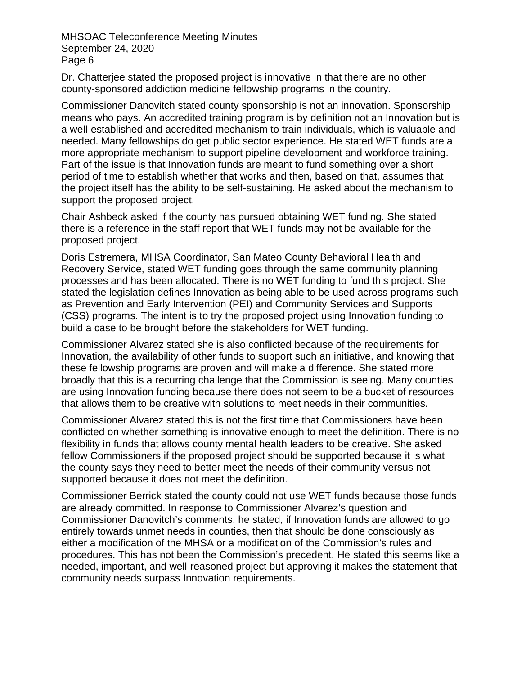Dr. Chatterjee stated the proposed project is innovative in that there are no other county-sponsored addiction medicine fellowship programs in the country.

Commissioner Danovitch stated county sponsorship is not an innovation. Sponsorship means who pays. An accredited training program is by definition not an Innovation but is a well-established and accredited mechanism to train individuals, which is valuable and needed. Many fellowships do get public sector experience. He stated WET funds are a more appropriate mechanism to support pipeline development and workforce training. Part of the issue is that Innovation funds are meant to fund something over a short period of time to establish whether that works and then, based on that, assumes that the project itself has the ability to be self-sustaining. He asked about the mechanism to support the proposed project.

Chair Ashbeck asked if the county has pursued obtaining WET funding. She stated there is a reference in the staff report that WET funds may not be available for the proposed project.

Doris Estremera, MHSA Coordinator, San Mateo County Behavioral Health and Recovery Service, stated WET funding goes through the same community planning processes and has been allocated. There is no WET funding to fund this project. She stated the legislation defines Innovation as being able to be used across programs such as Prevention and Early Intervention (PEI) and Community Services and Supports (CSS) programs. The intent is to try the proposed project using Innovation funding to build a case to be brought before the stakeholders for WET funding.

Commissioner Alvarez stated she is also conflicted because of the requirements for Innovation, the availability of other funds to support such an initiative, and knowing that these fellowship programs are proven and will make a difference. She stated more broadly that this is a recurring challenge that the Commission is seeing. Many counties are using Innovation funding because there does not seem to be a bucket of resources that allows them to be creative with solutions to meet needs in their communities.

Commissioner Alvarez stated this is not the first time that Commissioners have been conflicted on whether something is innovative enough to meet the definition. There is no flexibility in funds that allows county mental health leaders to be creative. She asked fellow Commissioners if the proposed project should be supported because it is what the county says they need to better meet the needs of their community versus not supported because it does not meet the definition.

Commissioner Berrick stated the county could not use WET funds because those funds are already committed. In response to Commissioner Alvarez's question and Commissioner Danovitch's comments, he stated, if Innovation funds are allowed to go entirely towards unmet needs in counties, then that should be done consciously as either a modification of the MHSA or a modification of the Commission's rules and procedures. This has not been the Commission's precedent. He stated this seems like a needed, important, and well-reasoned project but approving it makes the statement that community needs surpass Innovation requirements.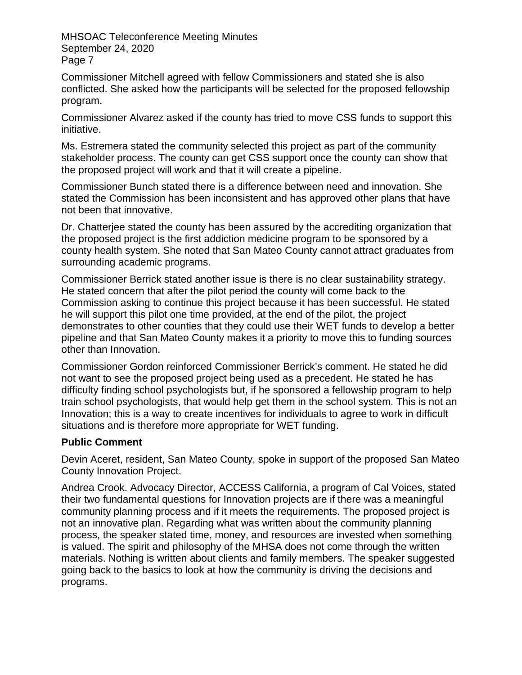Commissioner Mitchell agreed with fellow Commissioners and stated she is also conflicted. She asked how the participants will be selected for the proposed fellowship program.

Commissioner Alvarez asked if the county has tried to move CSS funds to support this initiative.

Ms. Estremera stated the community selected this project as part of the community stakeholder process. The county can get CSS support once the county can show that the proposed project will work and that it will create a pipeline.

Commissioner Bunch stated there is a difference between need and innovation. She stated the Commission has been inconsistent and has approved other plans that have not been that innovative.

Dr. Chatterjee stated the county has been assured by the accrediting organization that the proposed project is the first addiction medicine program to be sponsored by a county health system. She noted that San Mateo County cannot attract graduates from surrounding academic programs.

Commissioner Berrick stated another issue is there is no clear sustainability strategy. He stated concern that after the pilot period the county will come back to the Commission asking to continue this project because it has been successful. He stated he will support this pilot one time provided, at the end of the pilot, the project demonstrates to other counties that they could use their WET funds to develop a better pipeline and that San Mateo County makes it a priority to move this to funding sources other than Innovation.

Commissioner Gordon reinforced Commissioner Berrick's comment. He stated he did not want to see the proposed project being used as a precedent. He stated he has difficulty finding school psychologists but, if he sponsored a fellowship program to help train school psychologists, that would help get them in the school system. This is not an Innovation; this is a way to create incentives for individuals to agree to work in difficult situations and is therefore more appropriate for WET funding.

## **Public Comment**

Devin Aceret, resident, San Mateo County, spoke in support of the proposed San Mateo County Innovation Project.

Andrea Crook. Advocacy Director, ACCESS California, a program of Cal Voices, stated their two fundamental questions for Innovation projects are if there was a meaningful community planning process and if it meets the requirements. The proposed project is not an innovative plan. Regarding what was written about the community planning process, the speaker stated time, money, and resources are invested when something is valued. The spirit and philosophy of the MHSA does not come through the written materials. Nothing is written about clients and family members. The speaker suggested going back to the basics to look at how the community is driving the decisions and programs.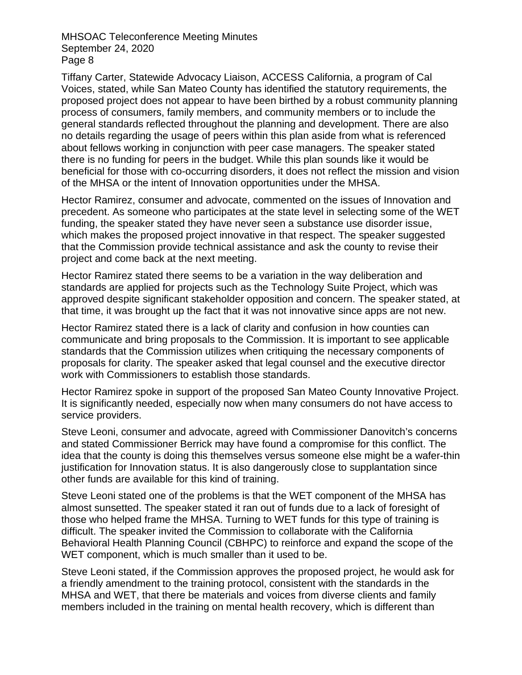Tiffany Carter, Statewide Advocacy Liaison, ACCESS California, a program of Cal Voices, stated, while San Mateo County has identified the statutory requirements, the proposed project does not appear to have been birthed by a robust community planning process of consumers, family members, and community members or to include the general standards reflected throughout the planning and development. There are also no details regarding the usage of peers within this plan aside from what is referenced about fellows working in conjunction with peer case managers. The speaker stated there is no funding for peers in the budget. While this plan sounds like it would be beneficial for those with co-occurring disorders, it does not reflect the mission and vision of the MHSA or the intent of Innovation opportunities under the MHSA.

Hector Ramirez, consumer and advocate, commented on the issues of Innovation and precedent. As someone who participates at the state level in selecting some of the WET funding, the speaker stated they have never seen a substance use disorder issue, which makes the proposed project innovative in that respect. The speaker suggested that the Commission provide technical assistance and ask the county to revise their project and come back at the next meeting.

Hector Ramirez stated there seems to be a variation in the way deliberation and standards are applied for projects such as the Technology Suite Project, which was approved despite significant stakeholder opposition and concern. The speaker stated, at that time, it was brought up the fact that it was not innovative since apps are not new.

Hector Ramirez stated there is a lack of clarity and confusion in how counties can communicate and bring proposals to the Commission. It is important to see applicable standards that the Commission utilizes when critiquing the necessary components of proposals for clarity. The speaker asked that legal counsel and the executive director work with Commissioners to establish those standards.

Hector Ramirez spoke in support of the proposed San Mateo County Innovative Project. It is significantly needed, especially now when many consumers do not have access to service providers.

Steve Leoni, consumer and advocate, agreed with Commissioner Danovitch's concerns and stated Commissioner Berrick may have found a compromise for this conflict. The idea that the county is doing this themselves versus someone else might be a wafer-thin justification for Innovation status. It is also dangerously close to supplantation since other funds are available for this kind of training.

Steve Leoni stated one of the problems is that the WET component of the MHSA has almost sunsetted. The speaker stated it ran out of funds due to a lack of foresight of those who helped frame the MHSA. Turning to WET funds for this type of training is difficult. The speaker invited the Commission to collaborate with the California Behavioral Health Planning Council (CBHPC) to reinforce and expand the scope of the WET component, which is much smaller than it used to be.

Steve Leoni stated, if the Commission approves the proposed project, he would ask for a friendly amendment to the training protocol, consistent with the standards in the MHSA and WET, that there be materials and voices from diverse clients and family members included in the training on mental health recovery, which is different than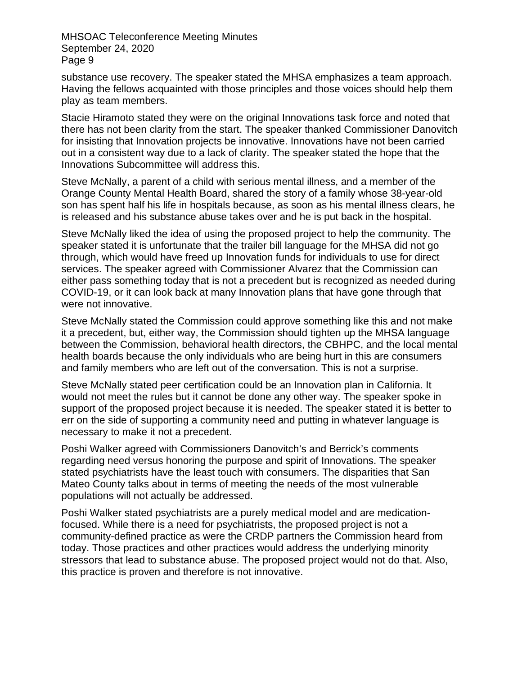substance use recovery. The speaker stated the MHSA emphasizes a team approach. Having the fellows acquainted with those principles and those voices should help them play as team members.

Stacie Hiramoto stated they were on the original Innovations task force and noted that there has not been clarity from the start. The speaker thanked Commissioner Danovitch for insisting that Innovation projects be innovative. Innovations have not been carried out in a consistent way due to a lack of clarity. The speaker stated the hope that the Innovations Subcommittee will address this.

Steve McNally, a parent of a child with serious mental illness, and a member of the Orange County Mental Health Board, shared the story of a family whose 38-year-old son has spent half his life in hospitals because, as soon as his mental illness clears, he is released and his substance abuse takes over and he is put back in the hospital.

Steve McNally liked the idea of using the proposed project to help the community. The speaker stated it is unfortunate that the trailer bill language for the MHSA did not go through, which would have freed up Innovation funds for individuals to use for direct services. The speaker agreed with Commissioner Alvarez that the Commission can either pass something today that is not a precedent but is recognized as needed during COVID-19, or it can look back at many Innovation plans that have gone through that were not innovative.

Steve McNally stated the Commission could approve something like this and not make it a precedent, but, either way, the Commission should tighten up the MHSA language between the Commission, behavioral health directors, the CBHPC, and the local mental health boards because the only individuals who are being hurt in this are consumers and family members who are left out of the conversation. This is not a surprise.

Steve McNally stated peer certification could be an Innovation plan in California. It would not meet the rules but it cannot be done any other way. The speaker spoke in support of the proposed project because it is needed. The speaker stated it is better to err on the side of supporting a community need and putting in whatever language is necessary to make it not a precedent.

Poshi Walker agreed with Commissioners Danovitch's and Berrick's comments regarding need versus honoring the purpose and spirit of Innovations. The speaker stated psychiatrists have the least touch with consumers. The disparities that San Mateo County talks about in terms of meeting the needs of the most vulnerable populations will not actually be addressed.

Poshi Walker stated psychiatrists are a purely medical model and are medicationfocused. While there is a need for psychiatrists, the proposed project is not a community-defined practice as were the CRDP partners the Commission heard from today. Those practices and other practices would address the underlying minority stressors that lead to substance abuse. The proposed project would not do that. Also, this practice is proven and therefore is not innovative.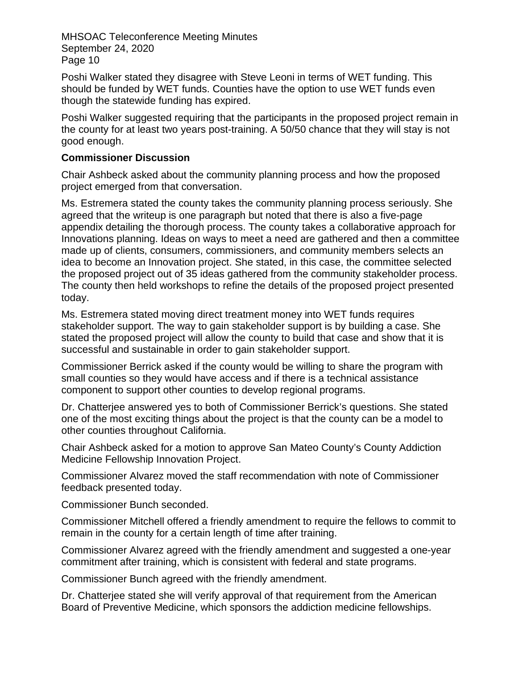Poshi Walker stated they disagree with Steve Leoni in terms of WET funding. This should be funded by WET funds. Counties have the option to use WET funds even though the statewide funding has expired.

Poshi Walker suggested requiring that the participants in the proposed project remain in the county for at least two years post-training. A 50/50 chance that they will stay is not good enough.

#### **Commissioner Discussion**

Chair Ashbeck asked about the community planning process and how the proposed project emerged from that conversation.

Ms. Estremera stated the county takes the community planning process seriously. She agreed that the writeup is one paragraph but noted that there is also a five-page appendix detailing the thorough process. The county takes a collaborative approach for Innovations planning. Ideas on ways to meet a need are gathered and then a committee made up of clients, consumers, commissioners, and community members selects an idea to become an Innovation project. She stated, in this case, the committee selected the proposed project out of 35 ideas gathered from the community stakeholder process. The county then held workshops to refine the details of the proposed project presented today.

Ms. Estremera stated moving direct treatment money into WET funds requires stakeholder support. The way to gain stakeholder support is by building a case. She stated the proposed project will allow the county to build that case and show that it is successful and sustainable in order to gain stakeholder support.

Commissioner Berrick asked if the county would be willing to share the program with small counties so they would have access and if there is a technical assistance component to support other counties to develop regional programs.

Dr. Chatterjee answered yes to both of Commissioner Berrick's questions. She stated one of the most exciting things about the project is that the county can be a model to other counties throughout California.

Chair Ashbeck asked for a motion to approve San Mateo County's County Addiction Medicine Fellowship Innovation Project.

Commissioner Alvarez moved the staff recommendation with note of Commissioner feedback presented today.

Commissioner Bunch seconded.

Commissioner Mitchell offered a friendly amendment to require the fellows to commit to remain in the county for a certain length of time after training.

Commissioner Alvarez agreed with the friendly amendment and suggested a one-year commitment after training, which is consistent with federal and state programs.

Commissioner Bunch agreed with the friendly amendment.

Dr. Chatterjee stated she will verify approval of that requirement from the American Board of Preventive Medicine, which sponsors the addiction medicine fellowships.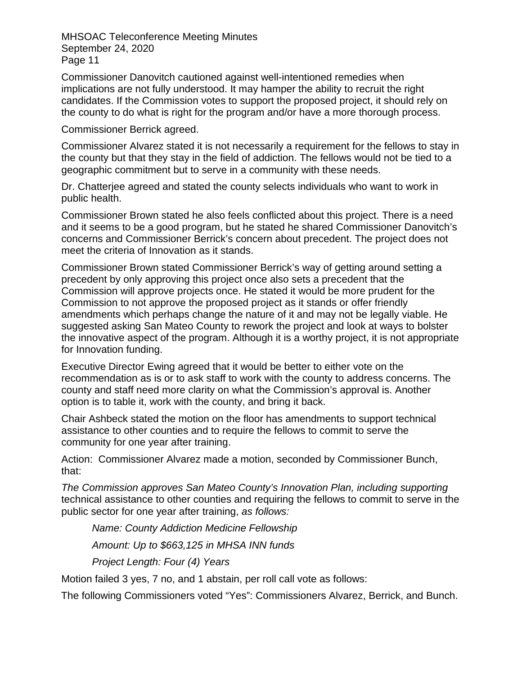Commissioner Danovitch cautioned against well-intentioned remedies when implications are not fully understood. It may hamper the ability to recruit the right candidates. If the Commission votes to support the proposed project, it should rely on the county to do what is right for the program and/or have a more thorough process.

Commissioner Berrick agreed.

Commissioner Alvarez stated it is not necessarily a requirement for the fellows to stay in the county but that they stay in the field of addiction. The fellows would not be tied to a geographic commitment but to serve in a community with these needs.

Dr. Chatterjee agreed and stated the county selects individuals who want to work in public health.

Commissioner Brown stated he also feels conflicted about this project. There is a need and it seems to be a good program, but he stated he shared Commissioner Danovitch's concerns and Commissioner Berrick's concern about precedent. The project does not meet the criteria of Innovation as it stands.

Commissioner Brown stated Commissioner Berrick's way of getting around setting a precedent by only approving this project once also sets a precedent that the Commission will approve projects once. He stated it would be more prudent for the Commission to not approve the proposed project as it stands or offer friendly amendments which perhaps change the nature of it and may not be legally viable. He suggested asking San Mateo County to rework the project and look at ways to bolster the innovative aspect of the program. Although it is a worthy project, it is not appropriate for Innovation funding.

Executive Director Ewing agreed that it would be better to either vote on the recommendation as is or to ask staff to work with the county to address concerns. The county and staff need more clarity on what the Commission's approval is. Another option is to table it, work with the county, and bring it back.

Chair Ashbeck stated the motion on the floor has amendments to support technical assistance to other counties and to require the fellows to commit to serve the community for one year after training.

Action: Commissioner Alvarez made a motion, seconded by Commissioner Bunch, that:

*The Commission approves San Mateo County's Innovation Plan, including supporting*  technical assistance to other counties and requiring the fellows to commit to serve in the public sector for one year after training, *as follows:*

*Name: County Addiction Medicine Fellowship Amount: Up to \$663,125 in MHSA INN funds*

*Project Length: Four (4) Years*

Motion failed 3 yes, 7 no, and 1 abstain, per roll call vote as follows:

The following Commissioners voted "Yes": Commissioners Alvarez, Berrick, and Bunch.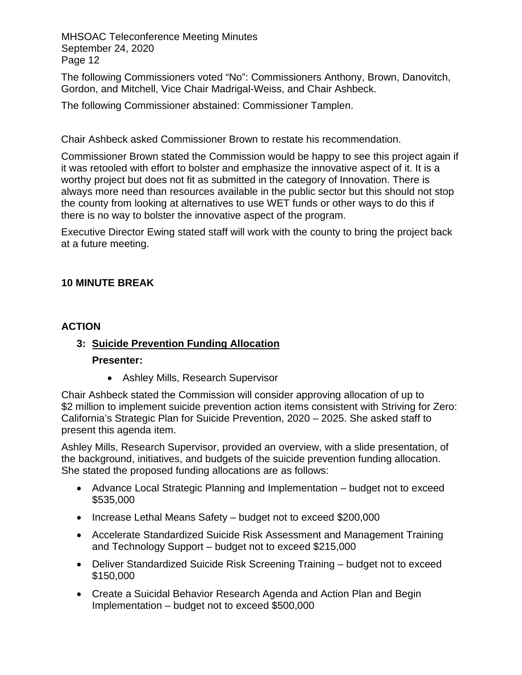The following Commissioners voted "No": Commissioners Anthony, Brown, Danovitch, Gordon, and Mitchell, Vice Chair Madrigal-Weiss, and Chair Ashbeck.

The following Commissioner abstained: Commissioner Tamplen.

Chair Ashbeck asked Commissioner Brown to restate his recommendation.

Commissioner Brown stated the Commission would be happy to see this project again if it was retooled with effort to bolster and emphasize the innovative aspect of it. It is a worthy project but does not fit as submitted in the category of Innovation. There is always more need than resources available in the public sector but this should not stop the county from looking at alternatives to use WET funds or other ways to do this if there is no way to bolster the innovative aspect of the program.

Executive Director Ewing stated staff will work with the county to bring the project back at a future meeting.

## **10 MINUTE BREAK**

#### **ACTION**

# **3: Suicide Prevention Funding Allocation**

#### **Presenter:**

• Ashley Mills, Research Supervisor

Chair Ashbeck stated the Commission will consider approving allocation of up to \$2 million to implement suicide prevention action items consistent with Striving for Zero: California's Strategic Plan for Suicide Prevention, 2020 – 2025. She asked staff to present this agenda item.

Ashley Mills, Research Supervisor, provided an overview, with a slide presentation, of the background, initiatives, and budgets of the suicide prevention funding allocation. She stated the proposed funding allocations are as follows:

- Advance Local Strategic Planning and Implementation budget not to exceed \$535,000
- Increase Lethal Means Safety budget not to exceed \$200,000
- Accelerate Standardized Suicide Risk Assessment and Management Training and Technology Support – budget not to exceed \$215,000
- Deliver Standardized Suicide Risk Screening Training budget not to exceed \$150,000
- Create a Suicidal Behavior Research Agenda and Action Plan and Begin Implementation – budget not to exceed \$500,000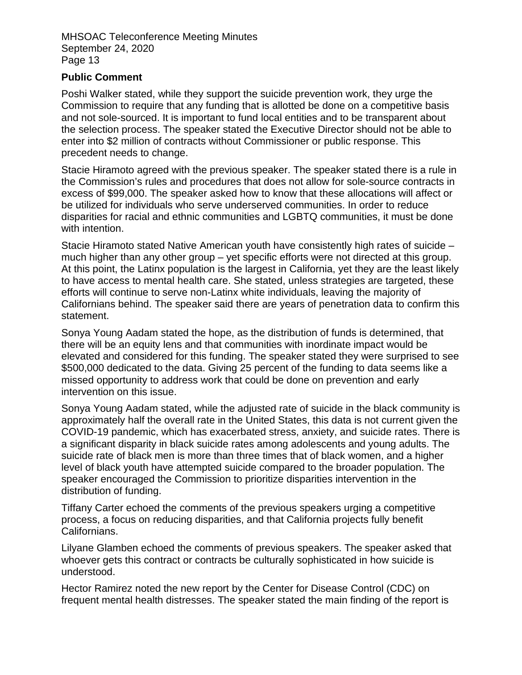#### **Public Comment**

Poshi Walker stated, while they support the suicide prevention work, they urge the Commission to require that any funding that is allotted be done on a competitive basis and not sole-sourced. It is important to fund local entities and to be transparent about the selection process. The speaker stated the Executive Director should not be able to enter into \$2 million of contracts without Commissioner or public response. This precedent needs to change.

Stacie Hiramoto agreed with the previous speaker. The speaker stated there is a rule in the Commission's rules and procedures that does not allow for sole-source contracts in excess of \$99,000. The speaker asked how to know that these allocations will affect or be utilized for individuals who serve underserved communities. In order to reduce disparities for racial and ethnic communities and LGBTQ communities, it must be done with intention.

Stacie Hiramoto stated Native American youth have consistently high rates of suicide – much higher than any other group – yet specific efforts were not directed at this group. At this point, the Latinx population is the largest in California, yet they are the least likely to have access to mental health care. She stated, unless strategies are targeted, these efforts will continue to serve non-Latinx white individuals, leaving the majority of Californians behind. The speaker said there are years of penetration data to confirm this statement.

Sonya Young Aadam stated the hope, as the distribution of funds is determined, that there will be an equity lens and that communities with inordinate impact would be elevated and considered for this funding. The speaker stated they were surprised to see \$500,000 dedicated to the data. Giving 25 percent of the funding to data seems like a missed opportunity to address work that could be done on prevention and early intervention on this issue.

Sonya Young Aadam stated, while the adjusted rate of suicide in the black community is approximately half the overall rate in the United States, this data is not current given the COVID-19 pandemic, which has exacerbated stress, anxiety, and suicide rates. There is a significant disparity in black suicide rates among adolescents and young adults. The suicide rate of black men is more than three times that of black women, and a higher level of black youth have attempted suicide compared to the broader population. The speaker encouraged the Commission to prioritize disparities intervention in the distribution of funding.

Tiffany Carter echoed the comments of the previous speakers urging a competitive process, a focus on reducing disparities, and that California projects fully benefit Californians.

Lilyane Glamben echoed the comments of previous speakers. The speaker asked that whoever gets this contract or contracts be culturally sophisticated in how suicide is understood.

Hector Ramirez noted the new report by the Center for Disease Control (CDC) on frequent mental health distresses. The speaker stated the main finding of the report is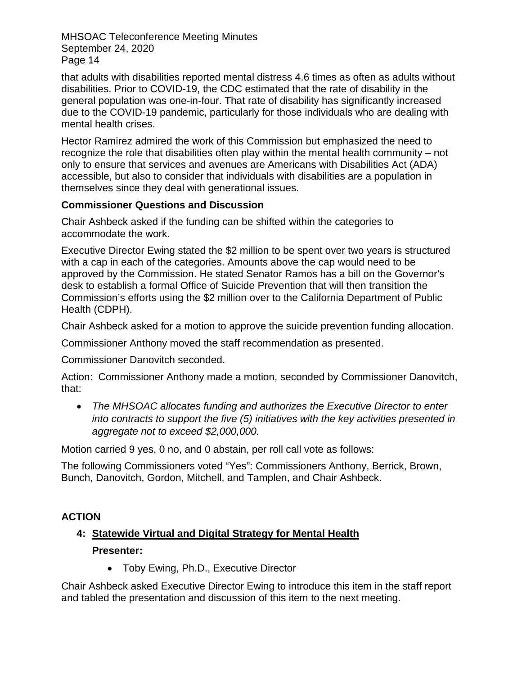that adults with disabilities reported mental distress 4.6 times as often as adults without disabilities. Prior to COVID-19, the CDC estimated that the rate of disability in the general population was one-in-four. That rate of disability has significantly increased due to the COVID-19 pandemic, particularly for those individuals who are dealing with mental health crises.

Hector Ramirez admired the work of this Commission but emphasized the need to recognize the role that disabilities often play within the mental health community – not only to ensure that services and avenues are Americans with Disabilities Act (ADA) accessible, but also to consider that individuals with disabilities are a population in themselves since they deal with generational issues.

## **Commissioner Questions and Discussion**

Chair Ashbeck asked if the funding can be shifted within the categories to accommodate the work.

Executive Director Ewing stated the \$2 million to be spent over two years is structured with a cap in each of the categories. Amounts above the cap would need to be approved by the Commission. He stated Senator Ramos has a bill on the Governor's desk to establish a formal Office of Suicide Prevention that will then transition the Commission's efforts using the \$2 million over to the California Department of Public Health (CDPH).

Chair Ashbeck asked for a motion to approve the suicide prevention funding allocation.

Commissioner Anthony moved the staff recommendation as presented.

Commissioner Danovitch seconded.

Action: Commissioner Anthony made a motion, seconded by Commissioner Danovitch, that:

• *The MHSOAC allocates funding and authorizes the Executive Director to enter into contracts to support the five (5) initiatives with the key activities presented in aggregate not to exceed \$2,000,000.*

Motion carried 9 yes, 0 no, and 0 abstain, per roll call vote as follows:

The following Commissioners voted "Yes": Commissioners Anthony, Berrick, Brown, Bunch, Danovitch, Gordon, Mitchell, and Tamplen, and Chair Ashbeck.

## **ACTION**

## **4: Statewide Virtual and Digital Strategy for Mental Health Presenter:**

• Toby Ewing, Ph.D., Executive Director

Chair Ashbeck asked Executive Director Ewing to introduce this item in the staff report and tabled the presentation and discussion of this item to the next meeting.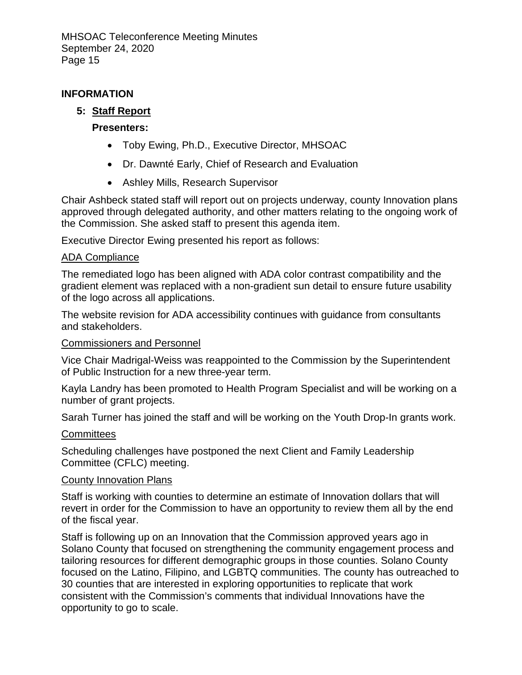#### **INFORMATION**

## **5: Staff Report**

#### **Presenters:**

- Toby Ewing, Ph.D., Executive Director, MHSOAC
- Dr. Dawnté Early, Chief of Research and Evaluation
- Ashley Mills, Research Supervisor

Chair Ashbeck stated staff will report out on projects underway, county Innovation plans approved through delegated authority, and other matters relating to the ongoing work of the Commission. She asked staff to present this agenda item.

Executive Director Ewing presented his report as follows:

#### ADA Compliance

The remediated logo has been aligned with ADA color contrast compatibility and the gradient element was replaced with a non-gradient sun detail to ensure future usability of the logo across all applications.

The website revision for ADA accessibility continues with guidance from consultants and stakeholders.

#### Commissioners and Personnel

Vice Chair Madrigal-Weiss was reappointed to the Commission by the Superintendent of Public Instruction for a new three-year term.

Kayla Landry has been promoted to Health Program Specialist and will be working on a number of grant projects.

Sarah Turner has joined the staff and will be working on the Youth Drop-In grants work.

#### **Committees**

Scheduling challenges have postponed the next Client and Family Leadership Committee (CFLC) meeting.

#### County Innovation Plans

Staff is working with counties to determine an estimate of Innovation dollars that will revert in order for the Commission to have an opportunity to review them all by the end of the fiscal year.

Staff is following up on an Innovation that the Commission approved years ago in Solano County that focused on strengthening the community engagement process and tailoring resources for different demographic groups in those counties. Solano County focused on the Latino, Filipino, and LGBTQ communities. The county has outreached to 30 counties that are interested in exploring opportunities to replicate that work consistent with the Commission's comments that individual Innovations have the opportunity to go to scale.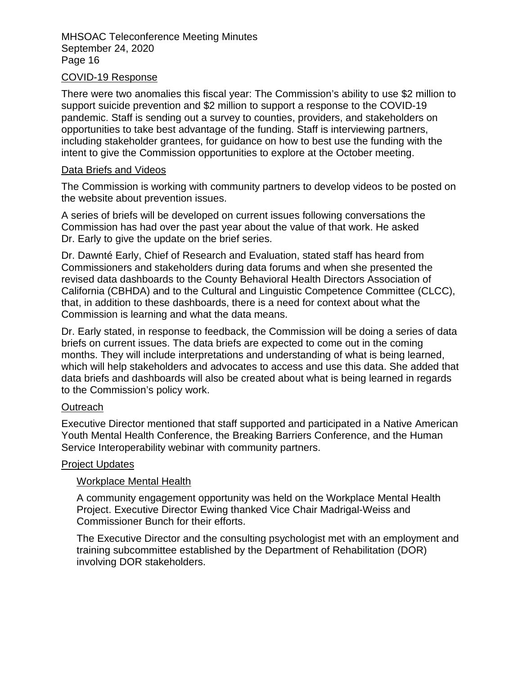#### COVID-19 Response

There were two anomalies this fiscal year: The Commission's ability to use \$2 million to support suicide prevention and \$2 million to support a response to the COVID-19 pandemic. Staff is sending out a survey to counties, providers, and stakeholders on opportunities to take best advantage of the funding. Staff is interviewing partners, including stakeholder grantees, for guidance on how to best use the funding with the intent to give the Commission opportunities to explore at the October meeting.

#### Data Briefs and Videos

The Commission is working with community partners to develop videos to be posted on the website about prevention issues.

A series of briefs will be developed on current issues following conversations the Commission has had over the past year about the value of that work. He asked Dr. Early to give the update on the brief series.

Dr. Dawnté Early, Chief of Research and Evaluation, stated staff has heard from Commissioners and stakeholders during data forums and when she presented the revised data dashboards to the County Behavioral Health Directors Association of California (CBHDA) and to the Cultural and Linguistic Competence Committee (CLCC), that, in addition to these dashboards, there is a need for context about what the Commission is learning and what the data means.

Dr. Early stated, in response to feedback, the Commission will be doing a series of data briefs on current issues. The data briefs are expected to come out in the coming months. They will include interpretations and understanding of what is being learned, which will help stakeholders and advocates to access and use this data. She added that data briefs and dashboards will also be created about what is being learned in regards to the Commission's policy work.

#### **Outreach**

Executive Director mentioned that staff supported and participated in a Native American Youth Mental Health Conference, the Breaking Barriers Conference, and the Human Service Interoperability webinar with community partners.

#### Project Updates

#### Workplace Mental Health

A community engagement opportunity was held on the Workplace Mental Health Project. Executive Director Ewing thanked Vice Chair Madrigal-Weiss and Commissioner Bunch for their efforts.

The Executive Director and the consulting psychologist met with an employment and training subcommittee established by the Department of Rehabilitation (DOR) involving DOR stakeholders.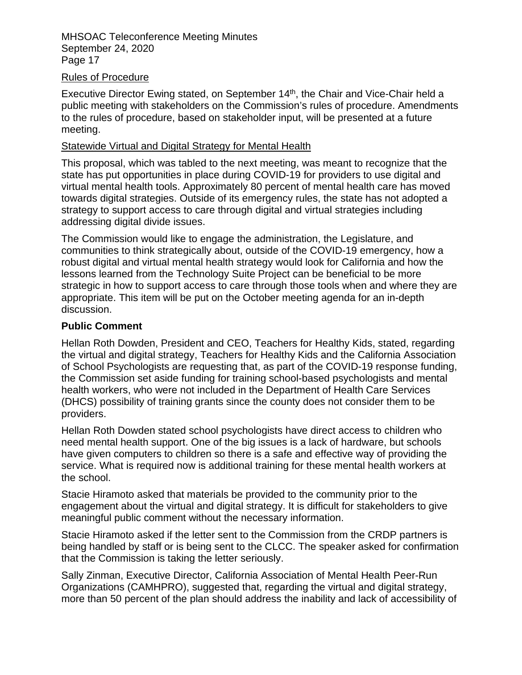#### Rules of Procedure

Executive Director Ewing stated, on September 14<sup>th</sup>, the Chair and Vice-Chair held a public meeting with stakeholders on the Commission's rules of procedure. Amendments to the rules of procedure, based on stakeholder input, will be presented at a future meeting.

#### Statewide Virtual and Digital Strategy for Mental Health

This proposal, which was tabled to the next meeting, was meant to recognize that the state has put opportunities in place during COVID-19 for providers to use digital and virtual mental health tools. Approximately 80 percent of mental health care has moved towards digital strategies. Outside of its emergency rules, the state has not adopted a strategy to support access to care through digital and virtual strategies including addressing digital divide issues.

The Commission would like to engage the administration, the Legislature, and communities to think strategically about, outside of the COVID-19 emergency, how a robust digital and virtual mental health strategy would look for California and how the lessons learned from the Technology Suite Project can be beneficial to be more strategic in how to support access to care through those tools when and where they are appropriate. This item will be put on the October meeting agenda for an in-depth discussion.

#### **Public Comment**

Hellan Roth Dowden, President and CEO, Teachers for Healthy Kids, stated, regarding the virtual and digital strategy, Teachers for Healthy Kids and the California Association of School Psychologists are requesting that, as part of the COVID-19 response funding, the Commission set aside funding for training school-based psychologists and mental health workers, who were not included in the Department of Health Care Services (DHCS) possibility of training grants since the county does not consider them to be providers.

Hellan Roth Dowden stated school psychologists have direct access to children who need mental health support. One of the big issues is a lack of hardware, but schools have given computers to children so there is a safe and effective way of providing the service. What is required now is additional training for these mental health workers at the school.

Stacie Hiramoto asked that materials be provided to the community prior to the engagement about the virtual and digital strategy. It is difficult for stakeholders to give meaningful public comment without the necessary information.

Stacie Hiramoto asked if the letter sent to the Commission from the CRDP partners is being handled by staff or is being sent to the CLCC. The speaker asked for confirmation that the Commission is taking the letter seriously.

Sally Zinman, Executive Director, California Association of Mental Health Peer-Run Organizations (CAMHPRO), suggested that, regarding the virtual and digital strategy, more than 50 percent of the plan should address the inability and lack of accessibility of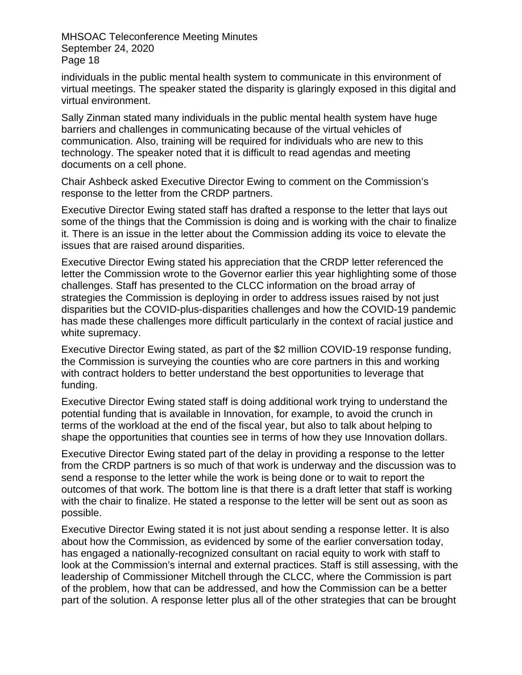individuals in the public mental health system to communicate in this environment of virtual meetings. The speaker stated the disparity is glaringly exposed in this digital and virtual environment.

Sally Zinman stated many individuals in the public mental health system have huge barriers and challenges in communicating because of the virtual vehicles of communication. Also, training will be required for individuals who are new to this technology. The speaker noted that it is difficult to read agendas and meeting documents on a cell phone.

Chair Ashbeck asked Executive Director Ewing to comment on the Commission's response to the letter from the CRDP partners.

Executive Director Ewing stated staff has drafted a response to the letter that lays out some of the things that the Commission is doing and is working with the chair to finalize it. There is an issue in the letter about the Commission adding its voice to elevate the issues that are raised around disparities.

Executive Director Ewing stated his appreciation that the CRDP letter referenced the letter the Commission wrote to the Governor earlier this year highlighting some of those challenges. Staff has presented to the CLCC information on the broad array of strategies the Commission is deploying in order to address issues raised by not just disparities but the COVID-plus-disparities challenges and how the COVID-19 pandemic has made these challenges more difficult particularly in the context of racial justice and white supremacy.

Executive Director Ewing stated, as part of the \$2 million COVID-19 response funding, the Commission is surveying the counties who are core partners in this and working with contract holders to better understand the best opportunities to leverage that funding.

Executive Director Ewing stated staff is doing additional work trying to understand the potential funding that is available in Innovation, for example, to avoid the crunch in terms of the workload at the end of the fiscal year, but also to talk about helping to shape the opportunities that counties see in terms of how they use Innovation dollars.

Executive Director Ewing stated part of the delay in providing a response to the letter from the CRDP partners is so much of that work is underway and the discussion was to send a response to the letter while the work is being done or to wait to report the outcomes of that work. The bottom line is that there is a draft letter that staff is working with the chair to finalize. He stated a response to the letter will be sent out as soon as possible.

Executive Director Ewing stated it is not just about sending a response letter. It is also about how the Commission, as evidenced by some of the earlier conversation today, has engaged a nationally-recognized consultant on racial equity to work with staff to look at the Commission's internal and external practices. Staff is still assessing, with the leadership of Commissioner Mitchell through the CLCC, where the Commission is part of the problem, how that can be addressed, and how the Commission can be a better part of the solution. A response letter plus all of the other strategies that can be brought